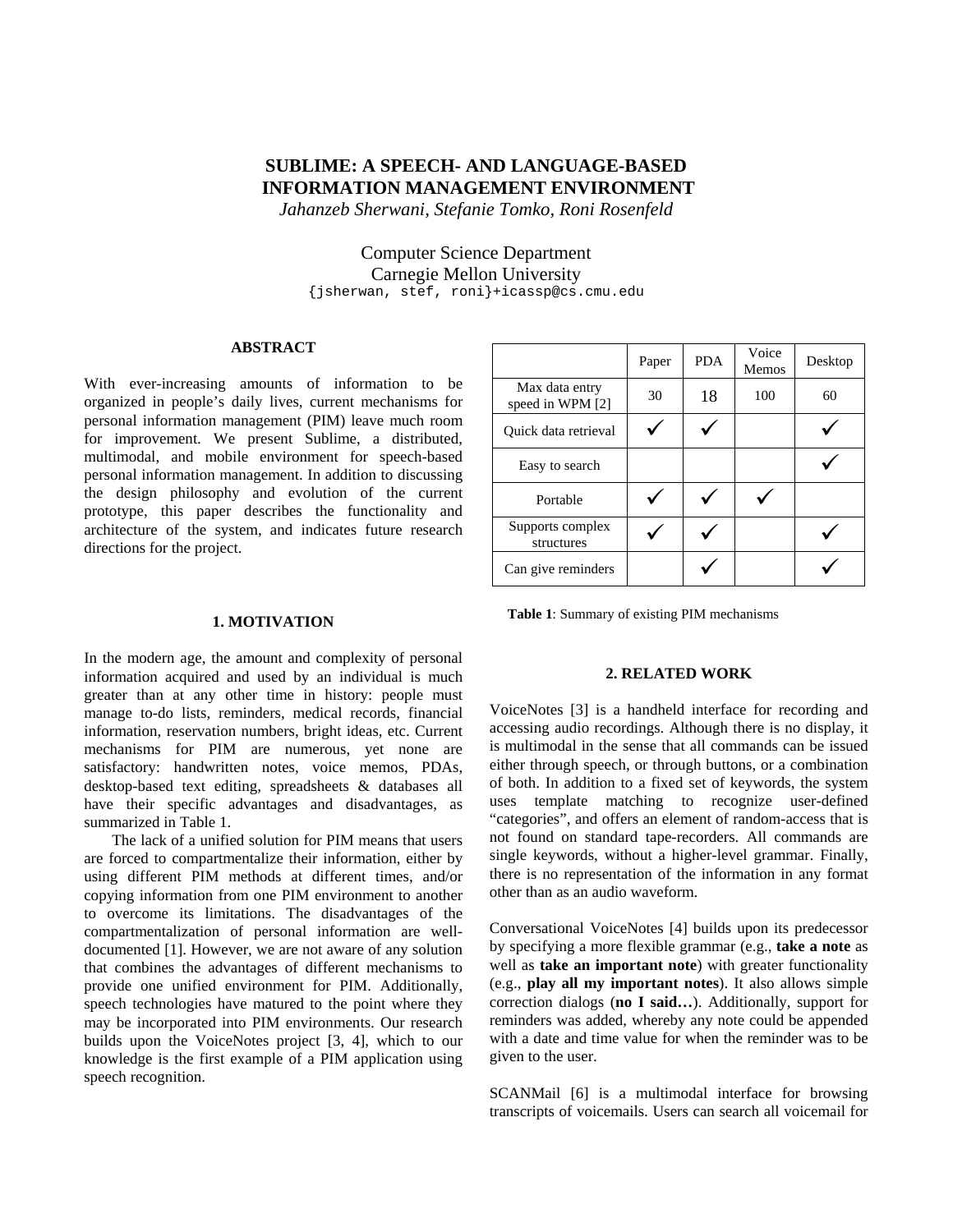# **SUBLIME: A SPEECH- AND LANGUAGE-BASED INFORMATION MANAGEMENT ENVIRONMENT**

*Jahanzeb Sherwani, Stefanie Tomko, Roni Rosenfeld* 

Computer Science Department Carnegie Mellon University {jsherwan, stef, roni}+icassp@cs.cmu.edu

## **ABSTRACT**

With ever-increasing amounts of information to be organized in people's daily lives, current mechanisms for personal information management (PIM) leave much room for improvement. We present Sublime, a distributed, multimodal, and mobile environment for speech-based personal information management. In addition to discussing the design philosophy and evolution of the current prototype, this paper describes the functionality and architecture of the system, and indicates future research directions for the project.

### **1. MOTIVATION**

In the modern age, the amount and complexity of personal information acquired and used by an individual is much greater than at any other time in history: people must manage to-do lists, reminders, medical records, financial information, reservation numbers, bright ideas, etc. Current mechanisms for PIM are numerous, yet none are satisfactory: handwritten notes, voice memos, PDAs, desktop-based text editing, spreadsheets & databases all have their specific advantages and disadvantages, as summarized in Table 1.

The lack of a unified solution for PIM means that users are forced to compartmentalize their information, either by using different PIM methods at different times, and/or copying information from one PIM environment to another to overcome its limitations. The disadvantages of the compartmentalization of personal information are welldocumented [1]. However, we are not aware of any solution that combines the advantages of different mechanisms to provide one unified environment for PIM. Additionally, speech technologies have matured to the point where they may be incorporated into PIM environments. Our research builds upon the VoiceNotes project [3, 4], which to our knowledge is the first example of a PIM application using speech recognition.

|                                    | Paper | <b>PDA</b> | Voice<br>Memos | Desktop |
|------------------------------------|-------|------------|----------------|---------|
| Max data entry<br>speed in WPM [2] | 30    | 18         | 100            | 60      |
| Quick data retrieval               |       |            |                |         |
| Easy to search                     |       |            |                |         |
| Portable                           |       |            |                |         |
| Supports complex<br>structures     |       |            |                |         |
| Can give reminders                 |       |            |                |         |

**Table 1**: Summary of existing PIM mechanisms

#### **2. RELATED WORK**

VoiceNotes [3] is a handheld interface for recording and accessing audio recordings. Although there is no display, it is multimodal in the sense that all commands can be issued either through speech, or through buttons, or a combination of both. In addition to a fixed set of keywords, the system uses template matching to recognize user-defined "categories", and offers an element of random-access that is not found on standard tape-recorders. All commands are single keywords, without a higher-level grammar. Finally, there is no representation of the information in any format other than as an audio waveform.

Conversational VoiceNotes [4] builds upon its predecessor by specifying a more flexible grammar (e.g., **take a note** as well as **take an important note**) with greater functionality (e.g., **play all my important notes**). It also allows simple correction dialogs (**no I said…**). Additionally, support for reminders was added, whereby any note could be appended with a date and time value for when the reminder was to be given to the user.

SCANMail [6] is a multimodal interface for browsing transcripts of voicemails. Users can search all voicemail for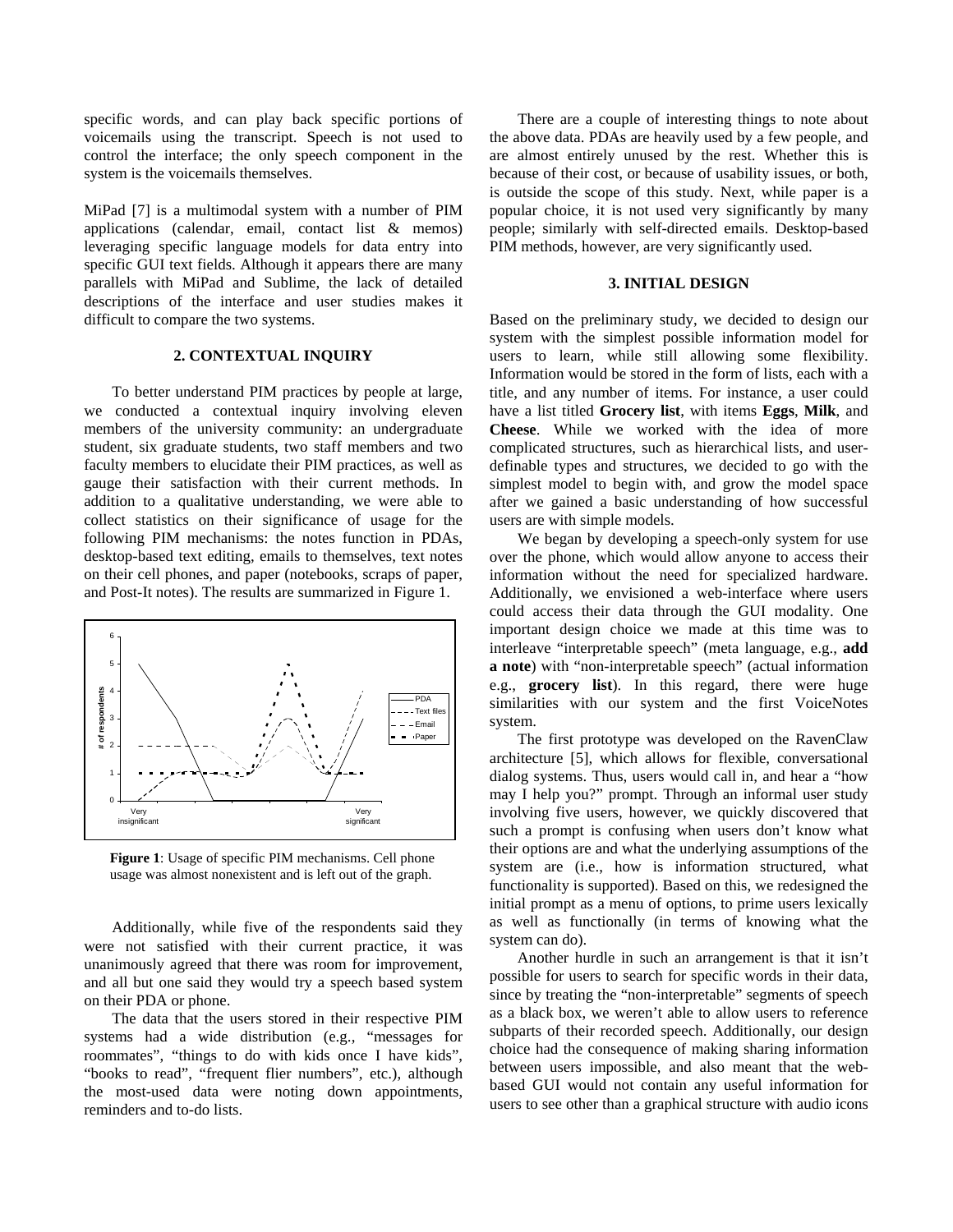specific words, and can play back specific portions of voicemails using the transcript. Speech is not used to control the interface; the only speech component in the system is the voicemails themselves.

MiPad [7] is a multimodal system with a number of PIM applications (calendar, email, contact list & memos) leveraging specific language models for data entry into specific GUI text fields. Although it appears there are many parallels with MiPad and Sublime, the lack of detailed descriptions of the interface and user studies makes it difficult to compare the two systems.

## **2. CONTEXTUAL INQUIRY**

To better understand PIM practices by people at large, we conducted a contextual inquiry involving eleven members of the university community: an undergraduate student, six graduate students, two staff members and two faculty members to elucidate their PIM practices, as well as gauge their satisfaction with their current methods. In addition to a qualitative understanding, we were able to collect statistics on their significance of usage for the following PIM mechanisms: the notes function in PDAs, desktop-based text editing, emails to themselves, text notes on their cell phones, and paper (notebooks, scraps of paper, and Post-It notes). The results are summarized in Figure 1.



**Figure 1**: Usage of specific PIM mechanisms. Cell phone usage was almost nonexistent and is left out of the graph.

Additionally, while five of the respondents said they were not satisfied with their current practice, it was unanimously agreed that there was room for improvement, and all but one said they would try a speech based system on their PDA or phone.

The data that the users stored in their respective PIM systems had a wide distribution (e.g., "messages for roommates", "things to do with kids once I have kids", "books to read", "frequent flier numbers", etc.), although the most-used data were noting down appointments, reminders and to-do lists.

There are a couple of interesting things to note about the above data. PDAs are heavily used by a few people, and are almost entirely unused by the rest. Whether this is because of their cost, or because of usability issues, or both, is outside the scope of this study. Next, while paper is a popular choice, it is not used very significantly by many people; similarly with self-directed emails. Desktop-based PIM methods, however, are very significantly used.

#### **3. INITIAL DESIGN**

Based on the preliminary study, we decided to design our system with the simplest possible information model for users to learn, while still allowing some flexibility. Information would be stored in the form of lists, each with a title, and any number of items. For instance, a user could have a list titled **Grocery list**, with items **Eggs**, **Milk**, and **Cheese**. While we worked with the idea of more complicated structures, such as hierarchical lists, and userdefinable types and structures, we decided to go with the simplest model to begin with, and grow the model space after we gained a basic understanding of how successful users are with simple models.

We began by developing a speech-only system for use over the phone, which would allow anyone to access their information without the need for specialized hardware. Additionally, we envisioned a web-interface where users could access their data through the GUI modality. One important design choice we made at this time was to interleave "interpretable speech" (meta language, e.g., **add a note**) with "non-interpretable speech" (actual information e.g., **grocery list**). In this regard, there were huge similarities with our system and the first VoiceNotes system.

The first prototype was developed on the RavenClaw architecture [5], which allows for flexible, conversational dialog systems. Thus, users would call in, and hear a "how may I help you?" prompt. Through an informal user study involving five users, however, we quickly discovered that such a prompt is confusing when users don't know what their options are and what the underlying assumptions of the system are (i.e., how is information structured, what functionality is supported). Based on this, we redesigned the initial prompt as a menu of options, to prime users lexically as well as functionally (in terms of knowing what the system can do).

Another hurdle in such an arrangement is that it isn't possible for users to search for specific words in their data, since by treating the "non-interpretable" segments of speech as a black box, we weren't able to allow users to reference subparts of their recorded speech. Additionally, our design choice had the consequence of making sharing information between users impossible, and also meant that the webbased GUI would not contain any useful information for users to see other than a graphical structure with audio icons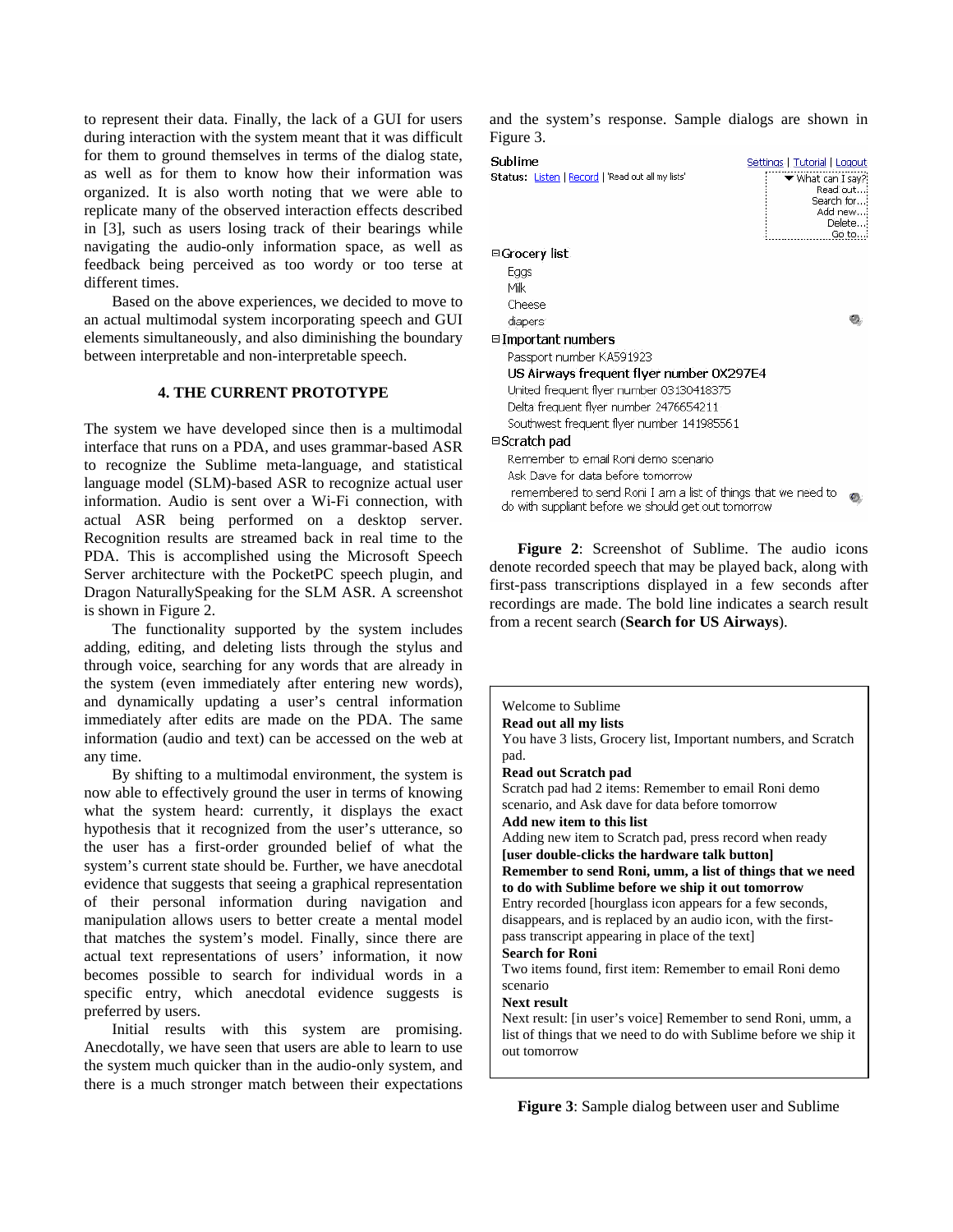to represent their data. Finally, the lack of a GUI for users during interaction with the system meant that it was difficult for them to ground themselves in terms of the dialog state, as well as for them to know how their information was organized. It is also worth noting that we were able to replicate many of the observed interaction effects described in [3], such as users losing track of their bearings while navigating the audio-only information space, as well as feedback being perceived as too wordy or too terse at different times.

Based on the above experiences, we decided to move to an actual multimodal system incorporating speech and GUI elements simultaneously, and also diminishing the boundary between interpretable and non-interpretable speech.

## **4. THE CURRENT PROTOTYPE**

The system we have developed since then is a multimodal interface that runs on a PDA, and uses grammar-based ASR to recognize the Sublime meta-language, and statistical language model (SLM)-based ASR to recognize actual user information. Audio is sent over a Wi-Fi connection, with actual ASR being performed on a desktop server. Recognition results are streamed back in real time to the PDA. This is accomplished using the Microsoft Speech Server architecture with the PocketPC speech plugin, and Dragon NaturallySpeaking for the SLM ASR. A screenshot is shown in Figure 2.

The functionality supported by the system includes adding, editing, and deleting lists through the stylus and through voice, searching for any words that are already in the system (even immediately after entering new words), and dynamically updating a user's central information immediately after edits are made on the PDA. The same information (audio and text) can be accessed on the web at any time.

By shifting to a multimodal environment, the system is now able to effectively ground the user in terms of knowing what the system heard: currently, it displays the exact hypothesis that it recognized from the user's utterance, so the user has a first-order grounded belief of what the system's current state should be. Further, we have anecdotal evidence that suggests that seeing a graphical representation of their personal information during navigation and manipulation allows users to better create a mental model that matches the system's model. Finally, since there are actual text representations of users' information, it now becomes possible to search for individual words in a specific entry, which anecdotal evidence suggests is preferred by users.

Initial results with this system are promising. Anecdotally, we have seen that users are able to learn to use the system much quicker than in the audio-only system, and there is a much stronger match between their expectations and the system's response. Sample dialogs are shown in Figure 3.

| Sublime                                                                                                              | Settings   Tutorial   Logout |
|----------------------------------------------------------------------------------------------------------------------|------------------------------|
| Status: Listen   Record   'Read out all my lists'                                                                    | ▼ What can I say?!           |
|                                                                                                                      | Read out…i<br>Search for     |
|                                                                                                                      | Add new                      |
|                                                                                                                      | Delete…i                     |
|                                                                                                                      | Go to                        |
| ⊟Grocery list                                                                                                        |                              |
| Eggs                                                                                                                 |                              |
| Milk                                                                                                                 |                              |
| Cheese                                                                                                               |                              |
| diapers <sup>.</sup>                                                                                                 |                              |
| $\Xi$ Important numbers                                                                                              |                              |
| Passport number KA591923                                                                                             |                              |
| US Airways frequent flyer number 0X297E4                                                                             |                              |
| United frequent flyer number 03130418375                                                                             |                              |
| Delta frequent flyer number 2476654211.                                                                              |                              |
| Southwest frequent flyer number 141985561                                                                            |                              |
| $\boxdot$ Scratch pad                                                                                                |                              |
| Remember to email Roni demo scenario                                                                                 |                              |
| Ask Dave for data before tomorrow                                                                                    |                              |
| remembered to send Roni I am a list of things that we need to<br>do with suppliant before we should get out tomorrow |                              |

**Figure 2**: Screenshot of Sublime. The audio icons denote recorded speech that may be played back, along with first-pass transcriptions displayed in a few seconds after recordings are made. The bold line indicates a search result from a recent search (**Search for US Airways**).